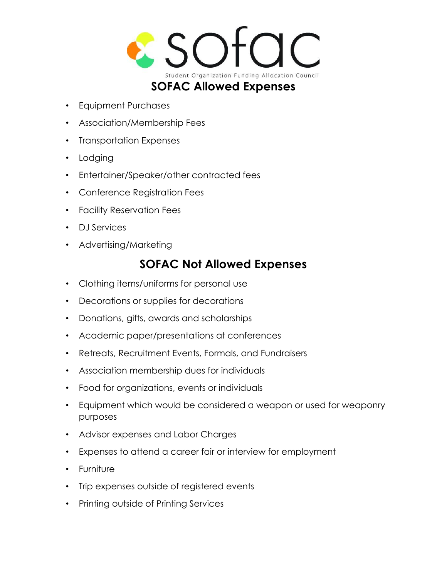

- Equipment Purchases
- Association/Membership Fees
- Transportation Expenses
- Lodging
- Entertainer/Speaker/other contracted fees
- Conference Registration Fees
- Facility Reservation Fees
- DJ Services
- Advertising/Marketing

## **SOFAC Not Allowed Expenses**

- Clothing items/uniforms for personal use
- Decorations or supplies for decorations
- Donations, gifts, awards and scholarships
- Academic paper/presentations at conferences
- Retreats, Recruitment Events, Formals, and Fundraisers
- Association membership dues for individuals
- Food for organizations, events or individuals
- Equipment which would be considered a weapon or used for weaponry purposes
- Advisor expenses and Labor Charges
- Expenses to attend a career fair or interview for employment
- Furniture
- Trip expenses outside of registered events
- Printing outside of Printing Services